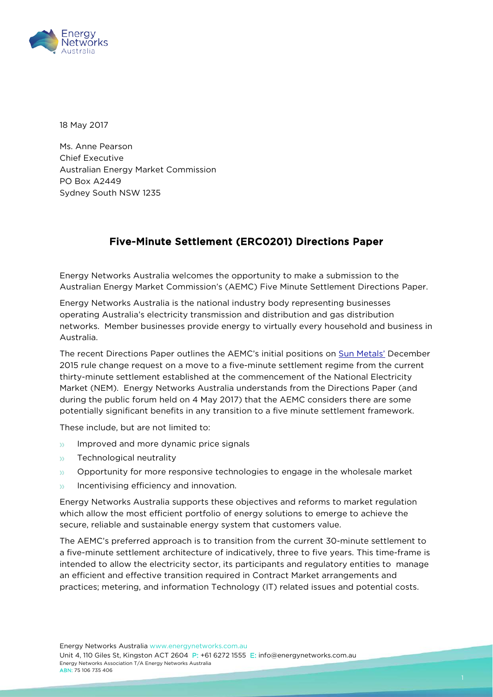

18 May 2017

Ms. Anne Pearson Chief Executive Australian Energy Market Commission PO Box A2449 Sydney South NSW 1235

## Five-Minute Settlement (ERC0201) Directions Paper

Energy Networks Australia welcomes the opportunity to make a submission to the Australian Energy Market Commission's (AEMC) Five Minute Settlement Directions Paper.

Energy Networks Australia is the national industry body representing businesses operating Australia's electricity transmission and distribution and gas distribution networks. Member businesses provide energy to virtually every household and business in Australia.

The recent Directions Paper outlines the AEMC's initial positions on [Sun Metals'](http://www.aemc.gov.au/getattachment/6a518011-533d-49dd-bb27-e6e8175bcabd/Rule-change-request.aspx) December 2015 rule change request on a move to a five-minute settlement regime from the current thirty-minute settlement established at the commencement of the National Electricity Market (NEM). Energy Networks Australia understands from the Directions Paper (and during the public forum held on 4 May 2017) that the AEMC considers there are some potentially significant benefits in any transition to a five minute settlement framework.

These include, but are not limited to:

- Improved and more dynamic price signals  $\mathbf{M}$
- Technological neutrality  $\mathcal{Y}$
- Opportunity for more responsive technologies to engage in the wholesale market  $\mathbf{y} \mathbf{y}$
- Incentivising efficiency and innovation.  $\mathbf{y}_{\mathbf{b}}$

Energy Networks Australia supports these objectives and reforms to market regulation which allow the most efficient portfolio of energy solutions to emerge to achieve the secure, reliable and sustainable energy system that customers value.

The AEMC's preferred approach is to transition from the current 30-minute settlement to a five-minute settlement architecture of indicatively, three to five years. This time-frame is intended to allow the electricity sector, its participants and regulatory entities to manage an efficient and effective transition required in Contract Market arrangements and practices; metering, and information Technology (IT) related issues and potential costs.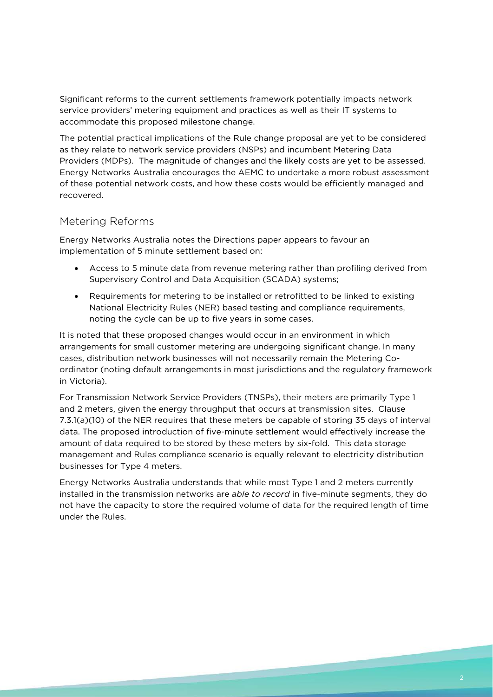Significant reforms to the current settlements framework potentially impacts network service providers' metering equipment and practices as well as their IT systems to accommodate this proposed milestone change.

The potential practical implications of the Rule change proposal are yet to be considered as they relate to network service providers (NSPs) and incumbent Metering Data Providers (MDPs). The magnitude of changes and the likely costs are yet to be assessed. Energy Networks Australia encourages the AEMC to undertake a more robust assessment of these potential network costs, and how these costs would be efficiently managed and recovered.

## Metering Reforms

Energy Networks Australia notes the Directions paper appears to favour an implementation of 5 minute settlement based on:

- Access to 5 minute data from revenue metering rather than profiling derived from Supervisory Control and Data Acquisition (SCADA) systems;
- Requirements for metering to be installed or retrofitted to be linked to existing National Electricity Rules (NER) based testing and compliance requirements, noting the cycle can be up to five years in some cases.

It is noted that these proposed changes would occur in an environment in which arrangements for small customer metering are undergoing significant change. In many cases, distribution network businesses will not necessarily remain the Metering Coordinator (noting default arrangements in most jurisdictions and the regulatory framework in Victoria).

For Transmission Network Service Providers (TNSPs), their meters are primarily Type 1 and 2 meters, given the energy throughput that occurs at transmission sites. Clause 7.3.1(a)(10) of the NER requires that these meters be capable of storing 35 days of interval data. The proposed introduction of five-minute settlement would effectively increase the amount of data required to be stored by these meters by six-fold. This data storage management and Rules compliance scenario is equally relevant to electricity distribution businesses for Type 4 meters.

Energy Networks Australia understands that while most Type 1 and 2 meters currently installed in the transmission networks are *able to record* in five-minute segments, they do not have the capacity to store the required volume of data for the required length of time under the Rules.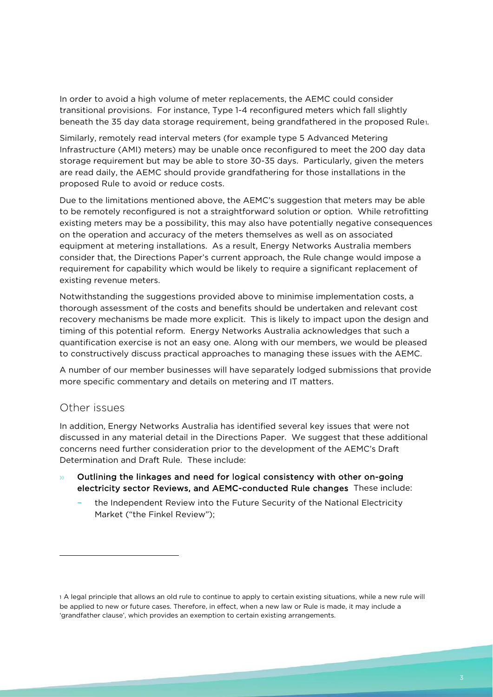In order to avoid a high volume of meter replacements, the AEMC could consider transitional provisions. For instance, Type 1-4 reconfigured meters which fall slightly beneath the 35 day data storage requirement, being grandfathered in the proposed Rule[1.](#page-2-0)

Similarly, remotely read interval meters (for example type 5 Advanced Metering Infrastructure (AMI) meters) may be unable once reconfigured to meet the 200 day data storage requirement but may be able to store 30-35 days. Particularly, given the meters are read daily, the AEMC should provide grandfathering for those installations in the proposed Rule to avoid or reduce costs.

Due to the limitations mentioned above, the AEMC's suggestion that meters may be able to be remotely reconfigured is not a straightforward solution or option. While retrofitting existing meters may be a possibility, this may also have potentially negative consequences on the operation and accuracy of the meters themselves as well as on associated equipment at metering installations. As a result, Energy Networks Australia members consider that, the Directions Paper's current approach, the Rule change would impose a requirement for capability which would be likely to require a significant replacement of existing revenue meters.

Notwithstanding the suggestions provided above to minimise implementation costs, a thorough assessment of the costs and benefits should be undertaken and relevant cost recovery mechanisms be made more explicit. This is likely to impact upon the design and timing of this potential reform. Energy Networks Australia acknowledges that such a quantification exercise is not an easy one. Along with our members, we would be pleased to constructively discuss practical approaches to managing these issues with the AEMC.

A number of our member businesses will have separately lodged submissions that provide more specific commentary and details on metering and IT matters.

### Other issues

1

In addition, Energy Networks Australia has identified several key issues that were not discussed in any material detail in the Directions Paper. We suggest that these additional concerns need further consideration prior to the development of the AEMC's Draft Determination and Draft Rule. These include:

- Outlining the linkages and need for logical consistency with other on-going  $\mathbf{v}$ electricity sector Reviews, and AEMC-conducted Rule changes These include:
	- the Independent Review into the Future Security of the National Electricity Market ("the Finkel Review");

<span id="page-2-0"></span><sup>1</sup> A legal principle that allows an old rule to continue to apply to certain existing situations, while a new rule will be applied to new or future cases. Therefore, in effect, when a new law or Rule is made, it may include a 'grandfather clause', which provides an exemption to certain existing arrangements.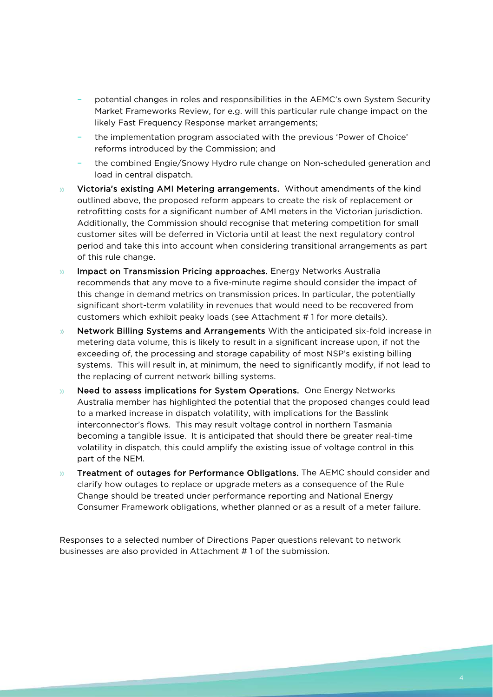- potential changes in roles and responsibilities in the AEMC's own System Security Market Frameworks Review, for e.g. will this particular rule change impact on the likely Fast Frequency Response market arrangements;
- the implementation program associated with the previous 'Power of Choice' reforms introduced by the Commission; and
- the combined Engie/Snowy Hydro rule change on Non-scheduled generation and load in central dispatch.
- Victoria's existing AMI Metering arrangements. Without amendments of the kind  $\mathbf{y} \mathbf{y}$ outlined above, the proposed reform appears to create the risk of replacement or retrofitting costs for a significant number of AMI meters in the Victorian jurisdiction. Additionally, the Commission should recognise that metering competition for small customer sites will be deferred in Victoria until at least the next regulatory control period and take this into account when considering transitional arrangements as part of this rule change.
- Impact on Transmission Pricing approaches. Energy Networks Australia  $35<sup>°</sup>$ recommends that any move to a five-minute regime should consider the impact of this change in demand metrics on transmission prices. In particular, the potentially significant short-term volatility in revenues that would need to be recovered from customers which exhibit peaky loads (see Attachment # 1 for more details).
- Network Billing Systems and Arrangements With the anticipated six-fold increase in  $\mathcal{V}$ metering data volume, this is likely to result in a significant increase upon, if not the exceeding of, the processing and storage capability of most NSP's existing billing systems. This will result in, at minimum, the need to significantly modify, if not lead to the replacing of current network billing systems.
- Need to assess implications for System Operations. One Energy Networks  $\mathbf{y}$ Australia member has highlighted the potential that the proposed changes could lead to a marked increase in dispatch volatility, with implications for the Basslink interconnector's flows. This may result voltage control in northern Tasmania becoming a tangible issue. It is anticipated that should there be greater real-time volatility in dispatch, this could amplify the existing issue of voltage control in this part of the NEM.
- Treatment of outages for Performance Obligations. The AEMC should consider and  $35<sup>°</sup>$ clarify how outages to replace or upgrade meters as a consequence of the Rule Change should be treated under performance reporting and National Energy Consumer Framework obligations, whether planned or as a result of a meter failure.

Responses to a selected number of Directions Paper questions relevant to network businesses are also provided in Attachment # 1 of the submission.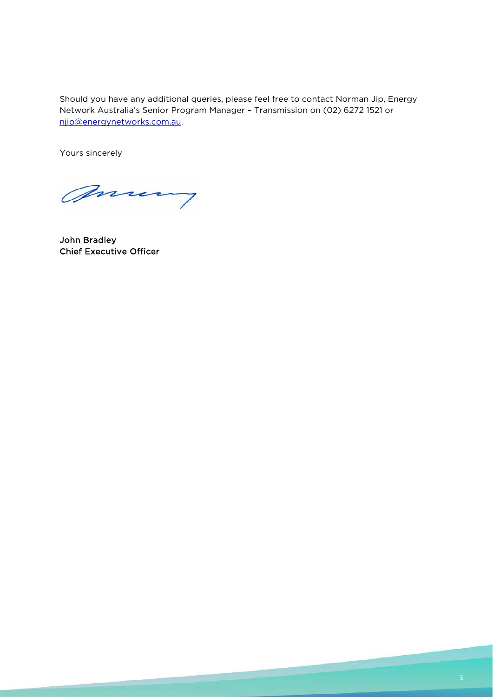Should you have any additional queries, please feel free to contact Norman Jip, Energy Network Australia's Senior Program Manager – Transmission on (02) 6272 1521 or [njip@energynetworks.com.au.](mailto:njip@energynetworks.com.au)

Yours sincerely

many

John Bradley Chief Executive Officer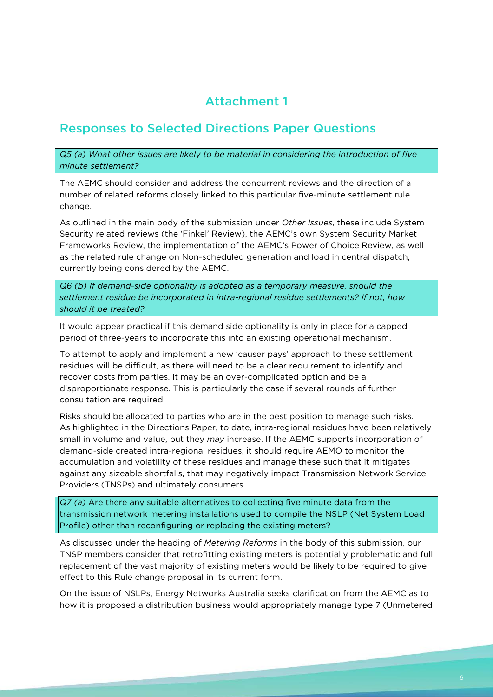# Attachment 1

# Responses to Selected Directions Paper Questions

*Q5 (a) What other issues are likely to be material in considering the introduction of five minute settlement?* 

The AEMC should consider and address the concurrent reviews and the direction of a number of related reforms closely linked to this particular five-minute settlement rule change.

As outlined in the main body of the submission under *Other Issues*, these include System Security related reviews (the 'Finkel' Review), the AEMC's own System Security Market Frameworks Review, the implementation of the AEMC's Power of Choice Review, as well as the related rule change on Non-scheduled generation and load in central dispatch, currently being considered by the AEMC.

*Q6 (b) If demand-side optionality is adopted as a temporary measure, should the settlement residue be incorporated in intra-regional residue settlements? If not, how should it be treated?* 

It would appear practical if this demand side optionality is only in place for a capped period of three-years to incorporate this into an existing operational mechanism.

To attempt to apply and implement a new 'causer pays' approach to these settlement residues will be difficult, as there will need to be a clear requirement to identify and recover costs from parties. It may be an over-complicated option and be a disproportionate response. This is particularly the case if several rounds of further consultation are required.

Risks should be allocated to parties who are in the best position to manage such risks. As highlighted in the Directions Paper, to date, intra-regional residues have been relatively small in volume and value, but they *may* increase. If the AEMC supports incorporation of demand-side created intra-regional residues, it should require AEMO to monitor the accumulation and volatility of these residues and manage these such that it mitigates against any sizeable shortfalls, that may negatively impact Transmission Network Service Providers (TNSPs) and ultimately consumers.

*Q7 (a)* Are there any suitable alternatives to collecting five minute data from the transmission network metering installations used to compile the NSLP (Net System Load Profile) other than reconfiguring or replacing the existing meters?

As discussed under the heading of *Metering Reforms* in the body of this submission, our TNSP members consider that retrofitting existing meters is potentially problematic and full replacement of the vast majority of existing meters would be likely to be required to give effect to this Rule change proposal in its current form.

On the issue of NSLPs, Energy Networks Australia seeks clarification from the AEMC as to how it is proposed a distribution business would appropriately manage type 7 (Unmetered

<u>and the company of the company of the company of the company of the company of the company of the company of the company of the company of the company of the company of the company of the company of the company of the com</u>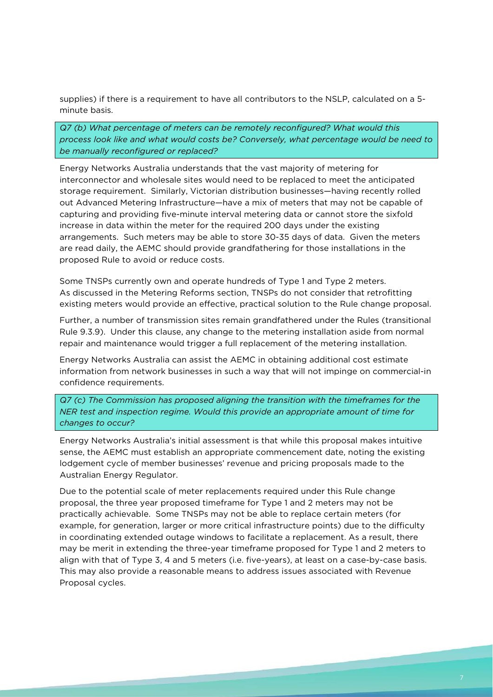supplies) if there is a requirement to have all contributors to the NSLP, calculated on a 5 minute basis.

*Q7 (b) What percentage of meters can be remotely reconfigured? What would this process look like and what would costs be? Conversely, what percentage would be need to be manually reconfigured or replaced?* 

Energy Networks Australia understands that the vast majority of metering for interconnector and wholesale sites would need to be replaced to meet the anticipated storage requirement. Similarly, Victorian distribution businesses—having recently rolled out Advanced Metering Infrastructure—have a mix of meters that may not be capable of capturing and providing five-minute interval metering data or cannot store the sixfold increase in data within the meter for the required 200 days under the existing arrangements. Such meters may be able to store 30-35 days of data. Given the meters are read daily, the AEMC should provide grandfathering for those installations in the proposed Rule to avoid or reduce costs.

Some TNSPs currently own and operate hundreds of Type 1 and Type 2 meters. As discussed in the Metering Reforms section, TNSPs do not consider that retrofitting existing meters would provide an effective, practical solution to the Rule change proposal.

Further, a number of transmission sites remain grandfathered under the Rules (transitional Rule 9.3.9). Under this clause, any change to the metering installation aside from normal repair and maintenance would trigger a full replacement of the metering installation.

Energy Networks Australia can assist the AEMC in obtaining additional cost estimate information from network businesses in such a way that will not impinge on commercial-in confidence requirements.

*Q7 (c) The Commission has proposed aligning the transition with the timeframes for the NER test and inspection regime. Would this provide an appropriate amount of time for changes to occur?* 

Energy Networks Australia's initial assessment is that while this proposal makes intuitive sense, the AEMC must establish an appropriate commencement date, noting the existing lodgement cycle of member businesses' revenue and pricing proposals made to the Australian Energy Regulator.

Due to the potential scale of meter replacements required under this Rule change proposal, the three year proposed timeframe for Type 1 and 2 meters may not be practically achievable. Some TNSPs may not be able to replace certain meters (for example, for generation, larger or more critical infrastructure points) due to the difficulty in coordinating extended outage windows to facilitate a replacement. As a result, there may be merit in extending the three-year timeframe proposed for Type 1 and 2 meters to align with that of Type 3, 4 and 5 meters (i.e. five-years), at least on a case-by-case basis. This may also provide a reasonable means to address issues associated with Revenue Proposal cycles.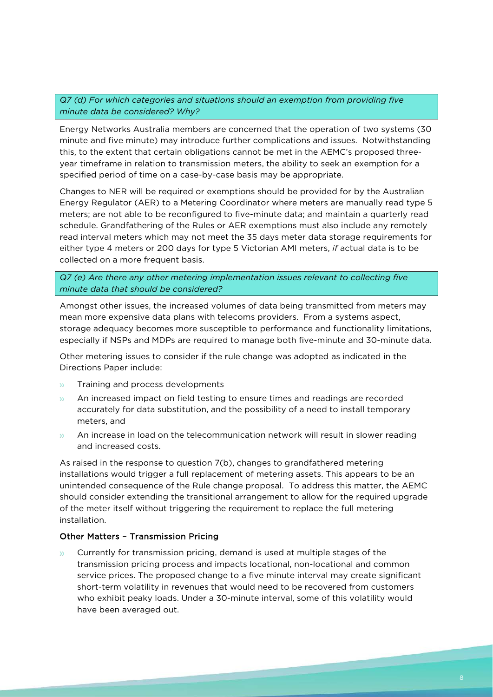*Q7 (d) For which categories and situations should an exemption from providing five minute data be considered? Why?* 

Energy Networks Australia members are concerned that the operation of two systems (30 minute and five minute) may introduce further complications and issues. Notwithstanding this, to the extent that certain obligations cannot be met in the AEMC's proposed threeyear timeframe in relation to transmission meters, the ability to seek an exemption for a specified period of time on a case-by-case basis may be appropriate.

Changes to NER will be required or exemptions should be provided for by the Australian Energy Regulator (AER) to a Metering Coordinator where meters are manually read type 5 meters; are not able to be reconfigured to five-minute data; and maintain a quarterly read schedule. Grandfathering of the Rules or AER exemptions must also include any remotely read interval meters which may not meet the 35 days meter data storage requirements for either type 4 meters or 200 days for type 5 Victorian AMI meters, *if* actual data is to be collected on a more frequent basis.

### *Q7 (e) Are there any other metering implementation issues relevant to collecting five minute data that should be considered?*

Amongst other issues, the increased volumes of data being transmitted from meters may mean more expensive data plans with telecoms providers. From a systems aspect, storage adequacy becomes more susceptible to performance and functionality limitations, especially if NSPs and MDPs are required to manage both five-minute and 30-minute data.

Other metering issues to consider if the rule change was adopted as indicated in the Directions Paper include:

- Training and process developments  $\mathcal{Y}^{\mathcal{Y}}$
- An increased impact on field testing to ensure times and readings are recorded  $\mathbf{y}$ accurately for data substitution, and the possibility of a need to install temporary meters, and
- An increase in load on the telecommunication network will result in slower reading  $35<sup>o</sup>$ and increased costs.

As raised in the response to question 7(b), changes to grandfathered metering installations would trigger a full replacement of metering assets. This appears to be an unintended consequence of the Rule change proposal. To address this matter, the AEMC should consider extending the transitional arrangement to allow for the required upgrade of the meter itself without triggering the requirement to replace the full metering installation.

#### Other Matters – Transmission Pricing

Currently for transmission pricing, demand is used at multiple stages of the transmission pricing process and impacts locational, non-locational and common service prices. The proposed change to a five minute interval may create significant short-term volatility in revenues that would need to be recovered from customers who exhibit peaky loads. Under a 30-minute interval, some of this volatility would have been averaged out.